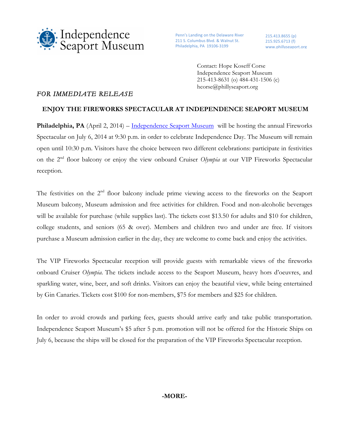

Penn's Landing on the Delaware River 211 S. Columbus Blvd. & Walnut St. Philadelphia, PA 19106-3199

215.413.8655 (p) 215.925.6713 (f) www.phillyseaport.org

Contact: Hope Koseff Corse Independence Seaport Museum 215-413-8631 (o) 484-431-1506 (c) hcorse@phillyseaport.org

## *FOR IMMEDIATE RELEASE*

## **ENJOY THE FIREWORKS SPECTACULAR AT INDEPENDENCE SEAPORT MUSEUM**

Philadelphia, PA (April 2, 2014) – Independence Seaport Museum will be hosting the annual Fireworks Spectacular on July 6, 2014 at 9:30 p.m. in order to celebrate Independence Day. The Museum will remain open until 10:30 p.m. Visitors have the choice between two different celebrations: participate in festivities on the 2nd floor balcony or enjoy the view onboard Cruiser *Olympia* at our VIP Fireworks Spectacular reception.

The festivities on the 2<sup>nd</sup> floor balcony include prime viewing access to the fireworks on the Seaport Museum balcony, Museum admission and free activities for children. Food and non-alcoholic beverages will be available for purchase (while supplies last). The tickets cost \$13.50 for adults and \$10 for children, college students, and seniors (65 & over). Members and children two and under are free. If visitors purchase a Museum admission earlier in the day, they are welcome to come back and enjoy the activities.

The VIP Fireworks Spectacular reception will provide guests with remarkable views of the fireworks onboard Cruiser *Olympia*. The tickets include access to the Seaport Museum, heavy hors d'oeuvres, and sparkling water, wine, beer, and soft drinks. Visitors can enjoy the beautiful view, while being entertained by Gin Canaries. Tickets cost \$100 for non-members, \$75 for members and \$25 for children.

In order to avoid crowds and parking fees, guests should arrive early and take public transportation. Independence Seaport Museum's \$5 after 5 p.m. promotion will not be offered for the Historic Ships on July 6, because the ships will be closed for the preparation of the VIP Fireworks Spectacular reception.

## **-MORE-**